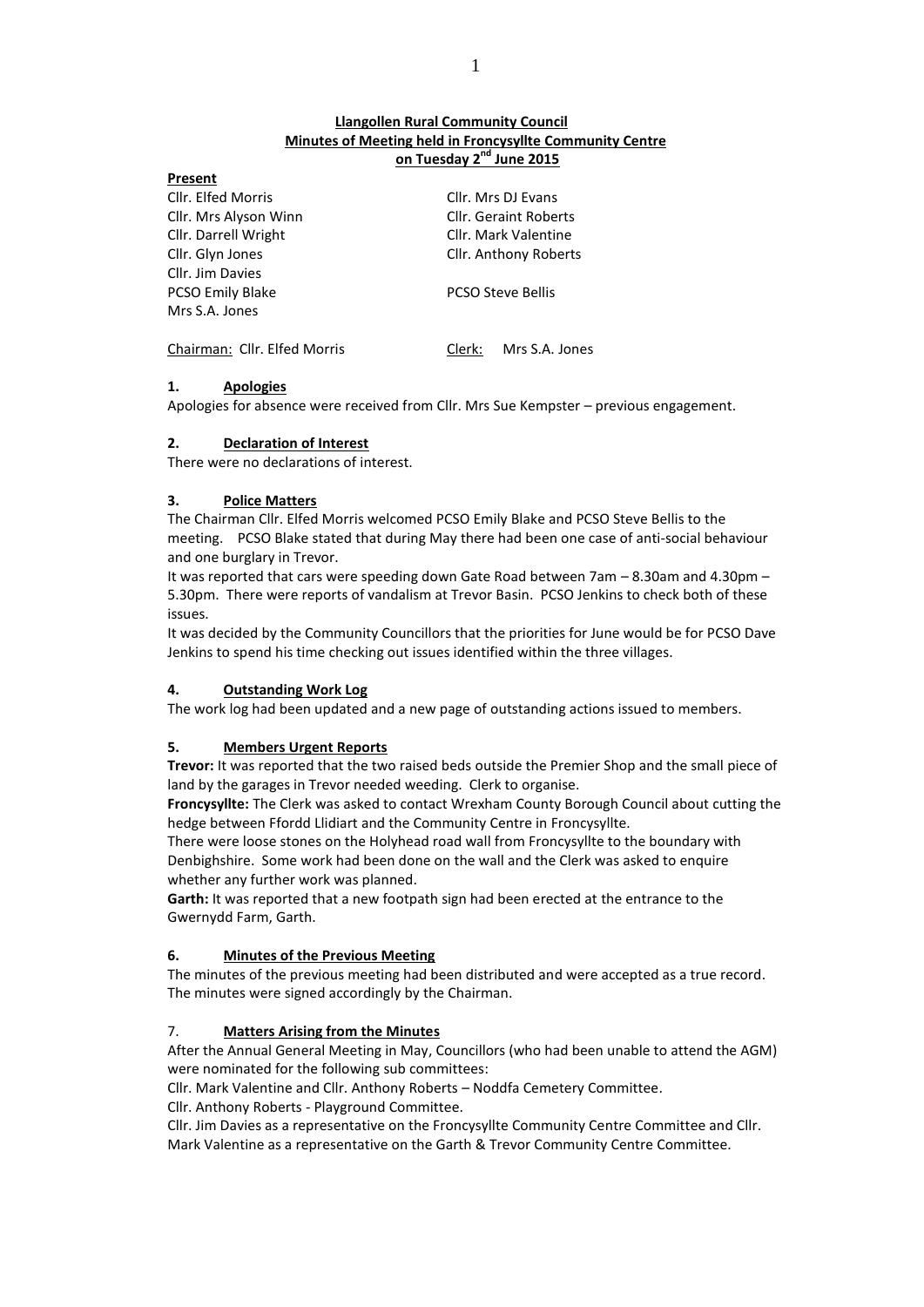# **Llangollen Rural Community Council Minutes of Meeting held in Froncysyllte Community Centre on Tuesday 2 nd June 2015**

| Present                      |                          |  |
|------------------------------|--------------------------|--|
| Cllr. Elfed Morris           | Cllr. Mrs DJ Evans       |  |
| Cllr. Mrs Alyson Winn        | Cllr. Geraint Roberts    |  |
| Cllr. Darrell Wright         | Cllr. Mark Valentine     |  |
| Cllr. Glyn Jones             | Cllr. Anthony Roberts    |  |
| Cllr. Jim Davies             |                          |  |
| PCSO Emily Blake             | <b>PCSO Steve Bellis</b> |  |
| Mrs S.A. Jones               |                          |  |
|                              |                          |  |
| Chairman: Cllr. Elfed Morris | Mrs S.A. Jones<br>Clerk: |  |

# **1. Apologies**

Apologies for absence were received from Cllr. Mrs Sue Kempster – previous engagement.

# **2. Declaration of Interest**

There were no declarations of interest.

# **3. Police Matters**

The Chairman Cllr. Elfed Morris welcomed PCSO Emily Blake and PCSO Steve Bellis to the meeting. PCSO Blake stated that during May there had been one case of anti-social behaviour and one burglary in Trevor.

It was reported that cars were speeding down Gate Road between 7am – 8.30am and 4.30pm – 5.30pm. There were reports of vandalism at Trevor Basin. PCSO Jenkins to check both of these issues.

It was decided by the Community Councillors that the priorities for June would be for PCSO Dave Jenkins to spend his time checking out issues identified within the three villages.

# **4. Outstanding Work Log**

The work log had been updated and a new page of outstanding actions issued to members.

# **5. Members Urgent Reports**

**Trevor:** It was reported that the two raised beds outside the Premier Shop and the small piece of land by the garages in Trevor needed weeding. Clerk to organise.

**Froncysyllte:** The Clerk was asked to contact Wrexham County Borough Council about cutting the hedge between Ffordd Llidiart and the Community Centre in Froncysyllte.

There were loose stones on the Holyhead road wall from Froncysyllte to the boundary with Denbighshire. Some work had been done on the wall and the Clerk was asked to enquire whether any further work was planned.

**Garth:** It was reported that a new footpath sign had been erected at the entrance to the Gwernydd Farm, Garth.

## **6. Minutes of the Previous Meeting**

The minutes of the previous meeting had been distributed and were accepted as a true record. The minutes were signed accordingly by the Chairman.

# 7. **Matters Arising from the Minutes**

After the Annual General Meeting in May, Councillors (who had been unable to attend the AGM) were nominated for the following sub committees:

Cllr. Mark Valentine and Cllr. Anthony Roberts – Noddfa Cemetery Committee.

Cllr. Anthony Roberts - Playground Committee.

Cllr. Jim Davies as a representative on the Froncysyllte Community Centre Committee and Cllr. Mark Valentine as a representative on the Garth & Trevor Community Centre Committee.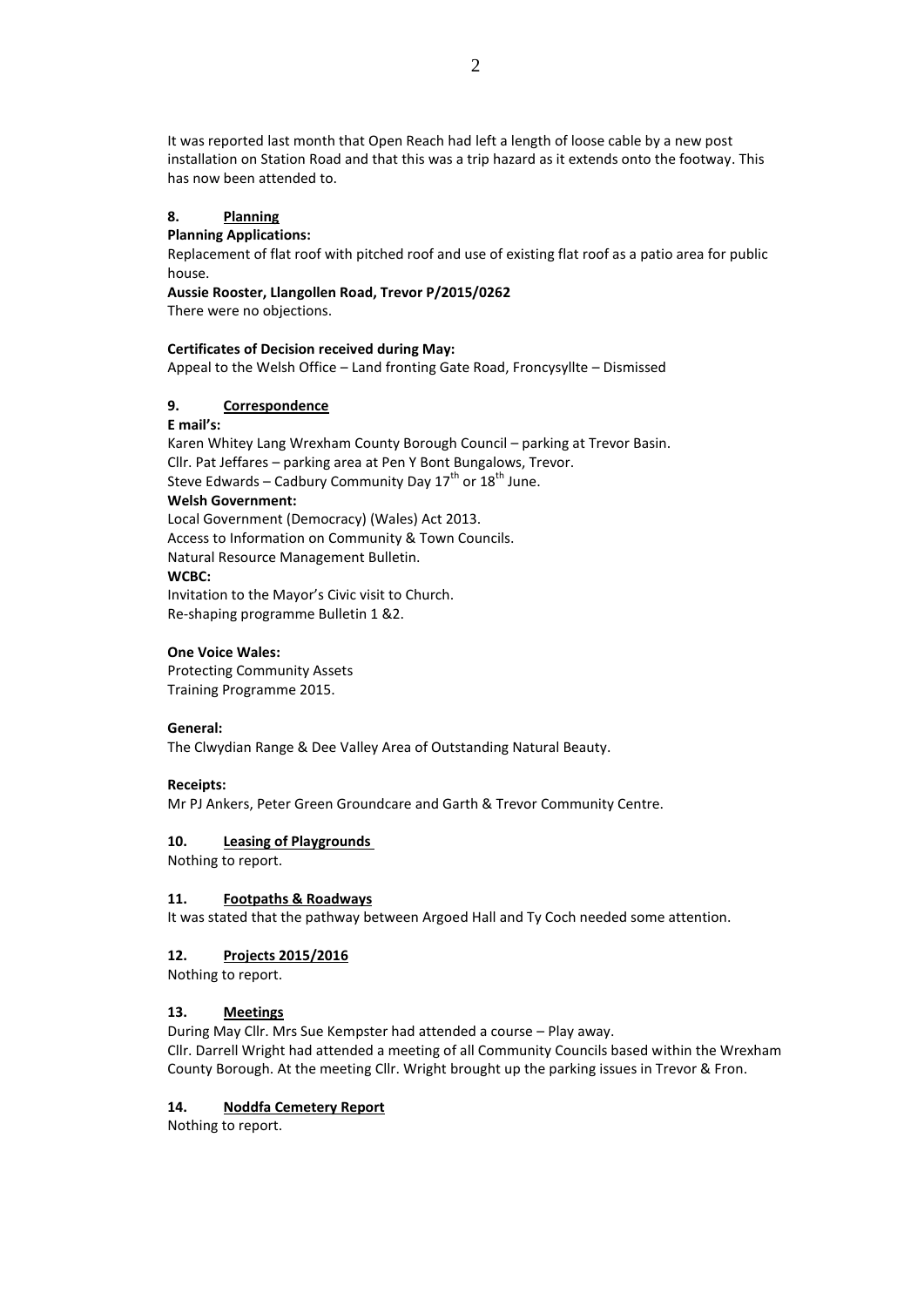It was reported last month that Open Reach had left a length of loose cable by a new post installation on Station Road and that this was a trip hazard as it extends onto the footway. This has now been attended to.

# **8. Planning**

## **Planning Applications:**

Replacement of flat roof with pitched roof and use of existing flat roof as a patio area for public house.

#### **Aussie Rooster, Llangollen Road, Trevor P/2015/0262**

There were no objections.

## **Certificates of Decision received during May:**

Appeal to the Welsh Office – Land fronting Gate Road, Froncysyllte – Dismissed

## **9. Correspondence**

**E mail's:**

Karen Whitey Lang Wrexham County Borough Council – parking at Trevor Basin. Cllr. Pat Jeffares – parking area at Pen Y Bont Bungalows, Trevor. Steve Edwards – Cadbury Community Day  $17<sup>th</sup>$  or  $18<sup>th</sup>$  June. **Welsh Government:** Local Government (Democracy) (Wales) Act 2013. Access to Information on Community & Town Councils.

Natural Resource Management Bulletin.

#### **WCBC:**

Invitation to the Mayor's Civic visit to Church. Re-shaping programme Bulletin 1 &2.

#### **One Voice Wales:**

Protecting Community Assets Training Programme 2015.

#### **General:**

The Clwydian Range & Dee Valley Area of Outstanding Natural Beauty.

## **Receipts:**

Mr PJ Ankers, Peter Green Groundcare and Garth & Trevor Community Centre.

## **10. Leasing of Playgrounds**

Nothing to report.

## **11. Footpaths & Roadways**

It was stated that the pathway between Argoed Hall and Ty Coch needed some attention.

## **12. Projects 2015/2016**

Nothing to report.

## **13. Meetings**

During May Cllr. Mrs Sue Kempster had attended a course – Play away. Cllr. Darrell Wright had attended a meeting of all Community Councils based within the Wrexham County Borough. At the meeting Cllr. Wright brought up the parking issues in Trevor & Fron.

## **14. Noddfa Cemetery Report**

Nothing to report.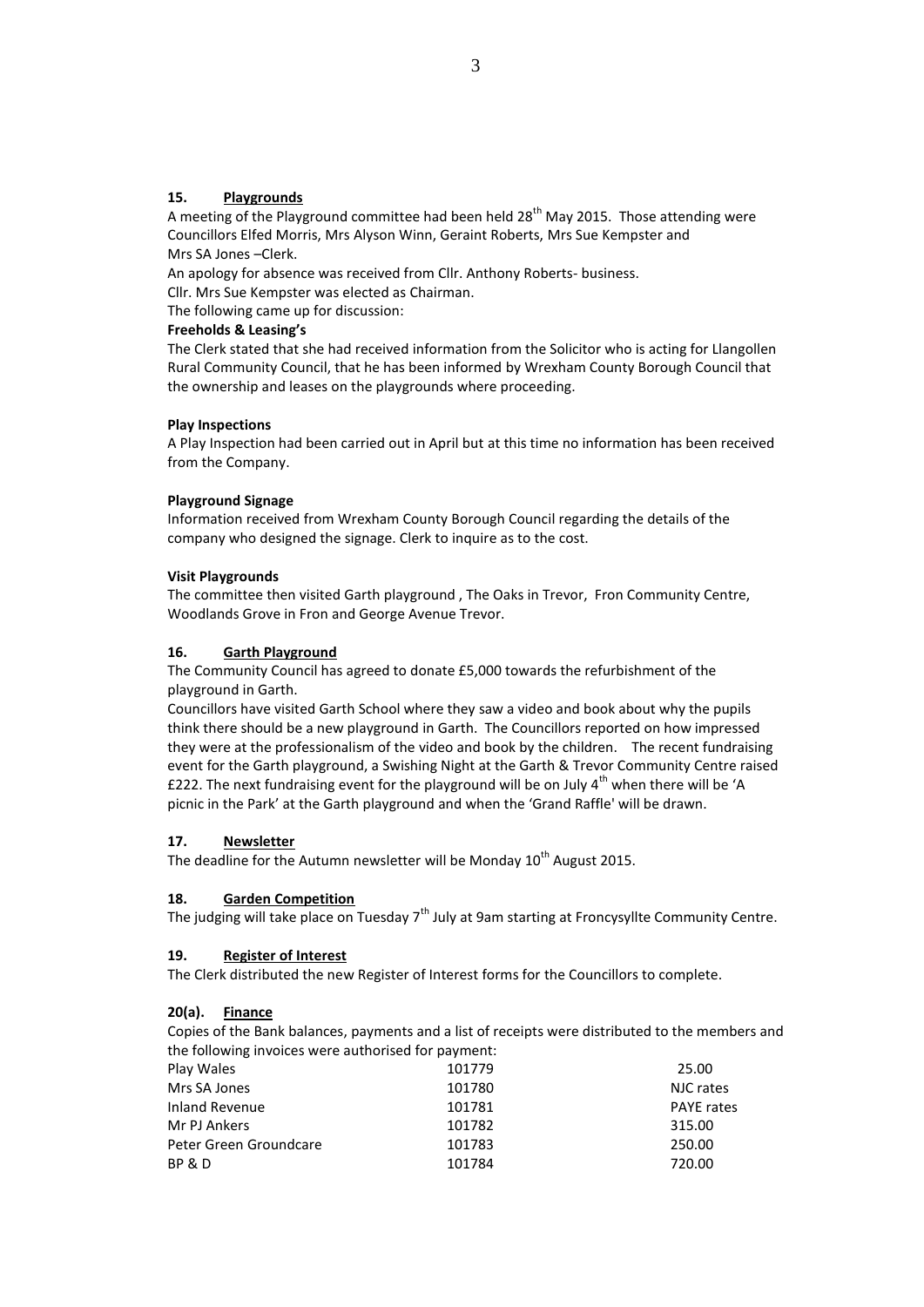# **15. Playgrounds**

A meeting of the Playground committee had been held 28<sup>th</sup> May 2015. Those attending were Councillors Elfed Morris, Mrs Alyson Winn, Geraint Roberts, Mrs Sue Kempster and Mrs SA Jones –Clerk.

An apology for absence was received from Cllr. Anthony Roberts- business.

Cllr. Mrs Sue Kempster was elected as Chairman.

The following came up for discussion:

#### **Freeholds & Leasing's**

The Clerk stated that she had received information from the Solicitor who is acting for Llangollen Rural Community Council, that he has been informed by Wrexham County Borough Council that the ownership and leases on the playgrounds where proceeding.

#### **Play Inspections**

A Play Inspection had been carried out in April but at this time no information has been received from the Company.

#### **Playground Signage**

Information received from Wrexham County Borough Council regarding the details of the company who designed the signage. Clerk to inquire as to the cost.

#### **Visit Playgrounds**

The committee then visited Garth playground , The Oaks in Trevor, Fron Community Centre, Woodlands Grove in Fron and George Avenue Trevor.

#### **16. Garth Playground**

The Community Council has agreed to donate £5,000 towards the refurbishment of the playground in Garth.

Councillors have visited Garth School where they saw a video and book about why the pupils think there should be a new playground in Garth. The Councillors reported on how impressed they were at the professionalism of the video and book by the children. The recent fundraising event for the Garth playground, a Swishing Night at the Garth & Trevor Community Centre raised £222. The next fundraising event for the playground will be on July  $4<sup>th</sup>$  when there will be 'A picnic in the Park' at the Garth playground and when the 'Grand Raffle' will be drawn.

## **17. Newsletter**

The deadline for the Autumn newsletter will be Monday  $10<sup>th</sup>$  August 2015.

## **18. Garden Competition**

The judging will take place on Tuesday  $7<sup>th</sup>$  July at 9am starting at Froncysyllte Community Centre.

#### **19. Register of Interest**

The Clerk distributed the new Register of Interest forms for the Councillors to complete.

## **20(a). Finance**

Copies of the Bank balances, payments and a list of receipts were distributed to the members and the following invoices were authorised for payment:

| Play Wales             | 101779 | 25.00             |
|------------------------|--------|-------------------|
| Mrs SA Jones           | 101780 | NJC rates         |
| Inland Revenue         | 101781 | <b>PAYE</b> rates |
| Mr PJ Ankers           | 101782 | 315.00            |
| Peter Green Groundcare | 101783 | 250.00            |
| BP & D                 | 101784 | 720.00            |